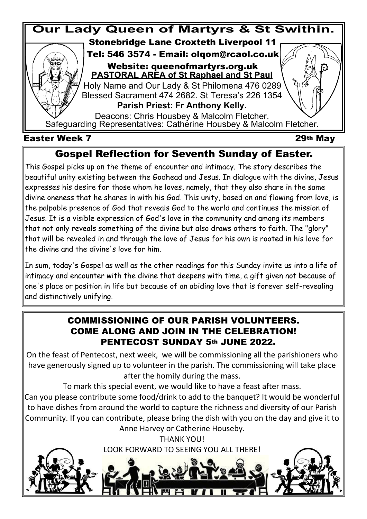

## **Gospel Reflection for Seventh Sunday of Easter.**

This Gospel picks up on the theme of encounter and intimacy. The story describes the beautiful unity existing between the Godhead and Jesus. In dialogue with the divine, Jesus expresses his desire for those whom he loves, namely, that they also share in the same divine oneness that he shares in with his God. This unity, based on and flowing from love, is the palpable presence of God that reveals God to the world and continues the mission of Jesus. It is a visible expression of God's love in the community and among its members that not only reveals something of the divine but also draws others to faith. The "glory" that will be revealed in and through the love of Jesus for his own is rooted in his love for the divine and the divine's love for him.

In sum, today's Gospel as well as the other readings for this Sunday invite us into a life of intimacy and encounter with the divine that deepens with time, a gift given not because of one's place or position in life but because of an abiding love that is forever self-revealing and distinctively unifying.

### **PENTECOST SUNDAY 5th JUNE 2022. COMMISSIONING OF OUR PARISH VOLUNTEERS. COME ALONG AND JOIN IN THE CELEBRATION!**

On the feast of Pentecost, next week, we will be commissioning all the parishioners who have generously signed up to volunteer in the parish. The commissioning will take place after the homily during the mass.

To mark this special event, we would like to have a feast after mass.

Can you please contribute some food/drink to add to the banquet? It would be wonderful to have dishes from around the world to capture the richness and diversity of our Parish Community. If you can contribute, please bring the dish with you on the day and give it to Anne Harvey or Catherine Houseby.

> THANK YOU! LOOK FORWARD TO SEEING YOU ALL THERE!

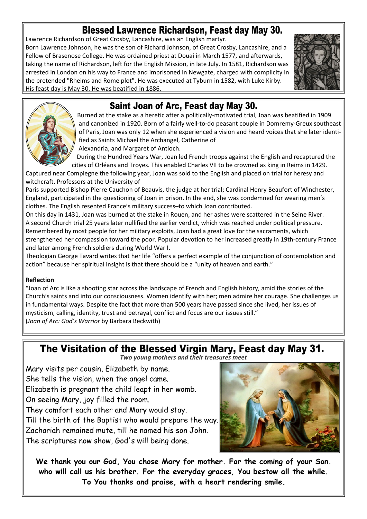## **Blessed Lawrence Richardson, Feast day May 30.**

Lawrence Richardson of Great Crosby, Lancashire, was an English martyr. Born Lawrence Johnson, he was the son of Richard Johnson, of Great Crosby, Lancashire, and a Fellow of Brasenose College. He was ordained priest at Douai in March 1577, and afterwards, taking the name of Richardson, left for the English Mission, in late July. In 1581, Richardson was arrested in London on his way to France and imprisoned in Newgate, charged with complicity in the pretended "Rheims and Rome plot". He was executed at Tyburn in 1582, with Luke Kirby. His feast day is May 30. He was beatified in 1886.





### **Saint Joan of Arc, Feast day May 30.**

Burned at the stake as a heretic after a politically-motivated trial, Joan was beatified in 1909 and canonized in 1920. Born of a fairly well-to-do peasant couple in Domremy-Greux southeast of Paris, Joan was only 12 when she experienced a vision and heard voices that she later identified as Saints Michael the Archangel, Catherine of Alexandria, and Margaret of Antioch.

During the Hundred Years War, Joan led French troops against the English and recaptured the cities of Orléans and Troyes. This enabled Charles VII to be crowned as king in Reims in 1429.

Captured near Compiegne the following year, Joan was sold to the English and placed on trial for heresy and witchcraft. Professors at the University of

Paris supported Bishop Pierre Cauchon of Beauvis, the judge at her trial; Cardinal Henry Beaufort of Winchester, England, participated in the questioning of Joan in prison. In the end, she was condemned for wearing men's clothes. The English resented France's military success–to which Joan contributed.

On this day in 1431, Joan was burned at the stake in Rouen, and her ashes were scattered in the Seine River. A second Church trial 25 years later nullified the earlier verdict, which was reached under political pressure. Remembered by most people for her military exploits, Joan had a great love for the sacraments, which strengthened her compassion toward the poor. Popular devotion to her increased greatly in 19th-century France and later among French soldiers during World War I.

Theologian George Tavard writes that her life "offers a perfect example of the conjunction of contemplation and action" because her spiritual insight is that there should be a "unity of heaven and earth."

#### **Reflection**

"Joan of Arc is like a shooting star across the landscape of French and English history, amid the stories of the Church's saints and into our consciousness. Women identify with her; men admire her courage. She challenges us in fundamental ways. Despite the fact that more than 500 years have passed since she lived, her issues of mysticism, calling, identity, trust and betrayal, conflict and focus are our issues still." (*Joan of Arc: God's Warrior* by Barbara Beckwith)

**The Visitation of the Blessed Virgin Mary, Feast day May 31.**

*Two young mothers and their treasures meet*

Mary visits per cousin, Elizabeth by name. She tells the vision, when the angel came. Elizabeth is pregnant the child leapt in her womb. On seeing Mary, joy filled the room. They comfort each other and Mary would stay. Till the birth of the Baptist who would prepare the way. Zachariah remained mute, till he named his son John.

The scriptures now show, God's will being done.



**We thank you our God, You chose Mary for mother. For the coming of your Son. who will call us his brother. For the everyday graces, You bestow all the while. To You thanks and praise, with a heart rendering smile.**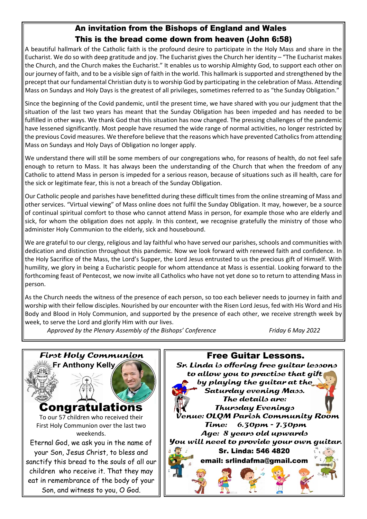### **An invitation from the Bishops of England and Wales This is the bread come down from heaven (John 6:58)**

A beautiful hallmark of the Catholic faith is the profound desire to participate in the Holy Mass and share in the Eucharist. We do so with deep gratitude and joy. The Eucharist gives the Church her identity – "The Eucharist makes the Church, and the Church makes the Eucharist." It enables us to worship Almighty God, to support each other on our journey of faith, and to be a visible sign of faith in the world. This hallmark is supported and strengthened by the precept that our fundamental Christian duty is to worship God by participating in the celebration of Mass. Attending Mass on Sundays and Holy Days is the greatest of all privileges, sometimes referred to as "the Sunday Obligation."

Since the beginning of the Covid pandemic, until the present time, we have shared with you our judgment that the situation of the last two years has meant that the Sunday Obligation has been impeded and has needed to be fulfilled in other ways. We thank God that this situation has now changed. The pressing challenges of the pandemic have lessened significantly. Most people have resumed the wide range of normal activities, no longer restricted by the previous Covid measures. We therefore believe that the reasons which have prevented Catholics from attending Mass on Sundays and Holy Days of Obligation no longer apply.

We understand there will still be some members of our congregations who, for reasons of health, do not feel safe enough to return to Mass. It has always been the understanding of the Church that when the freedom of any Catholic to attend Mass in person is impeded for a serious reason, because of situations such as ill health, care for the sick or legitimate fear, this is not a breach of the Sunday Obligation.

Our Catholic people and parishes have benefitted during these difficult times from the online streaming of Mass and other services. "Virtual viewing" of Mass online does not fulfil the Sunday Obligation. It may, however, be a source of continual spiritual comfort to those who cannot attend Mass in person, for example those who are elderly and sick, for whom the obligation does not apply. In this context, we recognise gratefully the ministry of those who administer Holy Communion to the elderly, sick and housebound.

We are grateful to our clergy, religious and lay faithful who have served our parishes, schools and communities with dedication and distinction throughout this pandemic. Now we look forward with renewed faith and confidence. In the Holy Sacrifice of the Mass, the Lord's Supper, the Lord Jesus entrusted to us the precious gift of Himself. With humility, we glory in being a Eucharistic people for whom attendance at Mass is essential. Looking forward to the forthcoming feast of Pentecost, we now invite all Catholics who have not yet done so to return to attending Mass in person.

As the Church needs the witness of the presence of each person, so too each believer needs to journey in faith and worship with their fellow disciples. Nourished by our encounter with the Risen Lord Jesus, fed with His Word and His Body and Blood in Holy Communion, and supported by the presence of each other, we receive strength week by week, to serve the Lord and glorify Him with our lives.

Approved by the Plenary Assembly of the Bishops' Conference Friday 6 May 2022